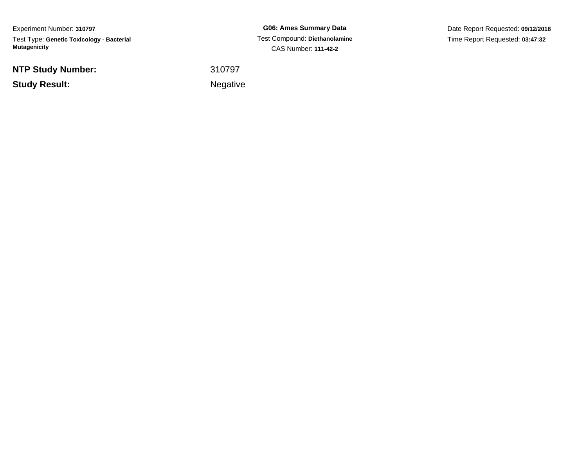Experiment Number: **310797**Test Type: **Genetic Toxicology - Bacterial Mutagenicity**

**NTP Study Number:**

**Study Result:**

**G06: Ames Summary Data** Test Compound: **Diethanolamine**CAS Number: **111-42-2**

Date Report Requested: **09/12/2018**Time Report Requested: **03:47:32**

 <sup>310797</sup>Negative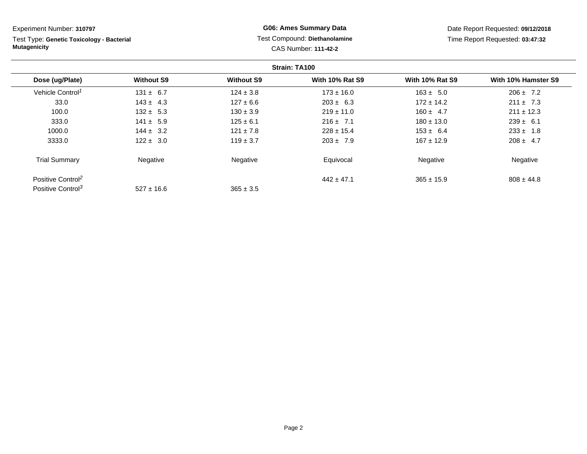| Experiment Number: 310797                                        |                   |                                                              | <b>G06: Ames Summary Data</b> |                                 | Date Report Requested: 09/12/2018 |  |
|------------------------------------------------------------------|-------------------|--------------------------------------------------------------|-------------------------------|---------------------------------|-----------------------------------|--|
| Test Type: Genetic Toxicology - Bacterial<br><b>Mutagenicity</b> |                   | Test Compound: Diethanolamine<br><b>CAS Number: 111-42-2</b> |                               | Time Report Requested: 03:47:32 |                                   |  |
|                                                                  |                   |                                                              | Strain: TA100                 |                                 |                                   |  |
| Dose (ug/Plate)                                                  | <b>Without S9</b> | <b>Without S9</b>                                            | <b>With 10% Rat S9</b>        | <b>With 10% Rat S9</b>          | With 10% Hamster S9               |  |
| Vehicle Control <sup>1</sup>                                     | $131 \pm 6.7$     | $124 \pm 3.8$                                                | $173 \pm 16.0$                | $163 \pm 5.0$                   | $206 \pm 7.2$                     |  |
| 33.0                                                             | $143 \pm 4.3$     | $127 \pm 6.6$                                                | $203 \pm 6.3$                 | $172 \pm 14.2$                  | $211 \pm 7.3$                     |  |
| 100.0                                                            | $132 \pm 5.3$     | $130 \pm 3.9$                                                | $219 \pm 11.0$                | $160 \pm 4.7$                   | $211 \pm 12.3$                    |  |
| 333.0                                                            | $141 \pm 5.9$     | $125 \pm 6.1$                                                | $216 \pm 7.1$                 | $180 \pm 13.0$                  | $239 \pm 6.1$                     |  |
| 1000.0                                                           | $144 \pm 3.2$     | $121 \pm 7.8$                                                | $228 \pm 15.4$                | $153 \pm 6.4$                   | $233 \pm 1.8$                     |  |
| 3333.0                                                           | $122 \pm 3.0$     | $119 \pm 3.7$                                                | $203 \pm 7.9$                 | $167 \pm 12.9$                  | $208 \pm 4.7$                     |  |
| <b>Trial Summary</b>                                             | Negative          | Negative                                                     | Equivocal                     | Negative                        | Negative                          |  |
| Positive Control <sup>2</sup>                                    |                   |                                                              | $442 \pm 47.1$                | $365 \pm 15.9$                  | $808 \pm 44.8$                    |  |
| Positive Control <sup>3</sup>                                    | $527 \pm 16.6$    | $365 \pm 3.5$                                                |                               |                                 |                                   |  |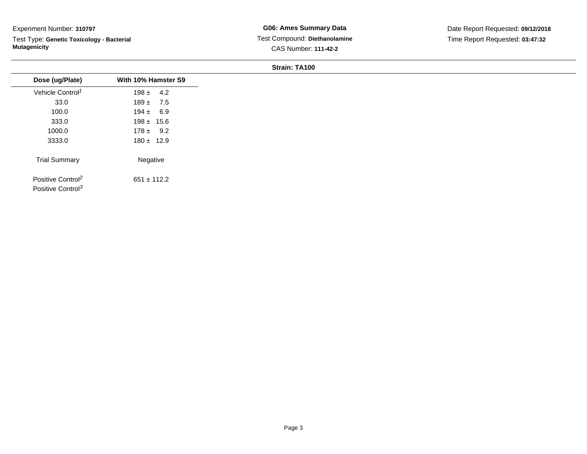Test Type: **Genetic Toxicology - Bacterial Mutagenicity**

**G06: Ames Summary Data** Test Compound: **Diethanolamine**CAS Number: **111-42-2**

Date Report Requested: **09/12/2018**Time Report Requested: **03:47:32**

| Dose (ug/Plate)                                                | With 10% Hamster S9 |
|----------------------------------------------------------------|---------------------|
| Vehicle Control <sup>1</sup>                                   | $198 \pm 4.2$       |
| 33.0                                                           | $189 \pm 7.5$       |
| 100.0                                                          | $194 \pm 6.9$       |
| 333.0                                                          | $198 \pm 15.6$      |
| 1000.0                                                         | $178 \pm 9.2$       |
| 3333.0                                                         | $180 \pm 12.9$      |
| <b>Trial Summary</b>                                           | Negative            |
| Positive Control <sup>2</sup><br>Positive Control <sup>3</sup> | $651 \pm 112.2$     |
|                                                                |                     |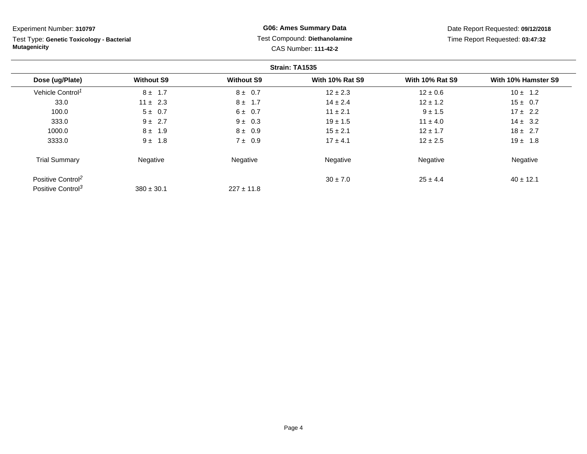Test Type: **Genetic Toxicology - Bacterial Mutagenicity**

**G06: Ames Summary Data** Test Compound: **Diethanolamine**CAS Number: **111-42-2**

Date Report Requested: **09/12/2018**Time Report Requested: **03:47:32**

|                               |                   |                   | Strain: TA1535         |                        |                     |
|-------------------------------|-------------------|-------------------|------------------------|------------------------|---------------------|
| Dose (ug/Plate)               | <b>Without S9</b> | <b>Without S9</b> | <b>With 10% Rat S9</b> | <b>With 10% Rat S9</b> | With 10% Hamster S9 |
| Vehicle Control <sup>1</sup>  | $8 \pm 1.7$       | $8 \pm 0.7$       | $12 \pm 2.3$           | $12 \pm 0.6$           | $10 \pm 1.2$        |
| 33.0                          | $11 \pm 2.3$      | $8 \pm 1.7$       | $14 \pm 2.4$           | $12 \pm 1.2$           | $15 \pm 0.7$        |
| 100.0                         | $5 \pm 0.7$       | $6 \pm 0.7$       | $11 \pm 2.1$           | $9 \pm 1.5$            | $17 \pm 2.2$        |
| 333.0                         | $9 \pm 2.7$       | $9 \pm 0.3$       | $19 \pm 1.5$           | $11 \pm 4.0$           | $14 \pm 3.2$        |
| 1000.0                        | $8 \pm 1.9$       | $8 \pm 0.9$       | $15 \pm 2.1$           | $12 \pm 1.7$           | $18 \pm 2.7$        |
| 3333.0                        | $9 \pm 1.8$       | $7 \pm 0.9$       | $17 \pm 4.1$           | $12 \pm 2.5$           | $19 \pm 1.8$        |
| <b>Trial Summary</b>          | Negative          | Negative          | Negative               | Negative               | Negative            |
| Positive Control <sup>2</sup> |                   |                   | $30 \pm 7.0$           | $25 \pm 4.4$           | $40 \pm 12.1$       |
| Positive Control <sup>3</sup> | $380 \pm 30.1$    | $227 \pm 11.8$    |                        |                        |                     |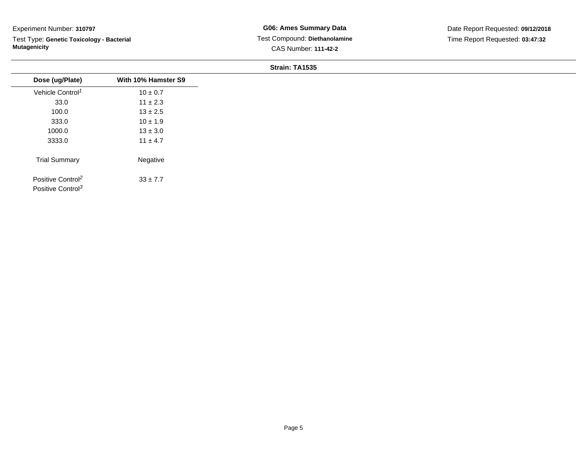Test Type: **Genetic Toxicology - Bacterial Mutagenicity**

| Dose (ug/Plate)                                                | With 10% Hamster S9 |
|----------------------------------------------------------------|---------------------|
| Vehicle Control <sup>1</sup>                                   | $10 \pm 0.7$        |
| 33.0                                                           | $11 \pm 2.3$        |
| 100.0                                                          | $13 \pm 2.5$        |
| 333.0                                                          | $10 \pm 1.9$        |
| 1000.0                                                         | $13 \pm 3.0$        |
| 3333.0                                                         | $11 \pm 4.7$        |
| <b>Trial Summary</b>                                           | Negative            |
| Positive Control <sup>2</sup><br>Positive Control <sup>3</sup> | $33 \pm 7.7$        |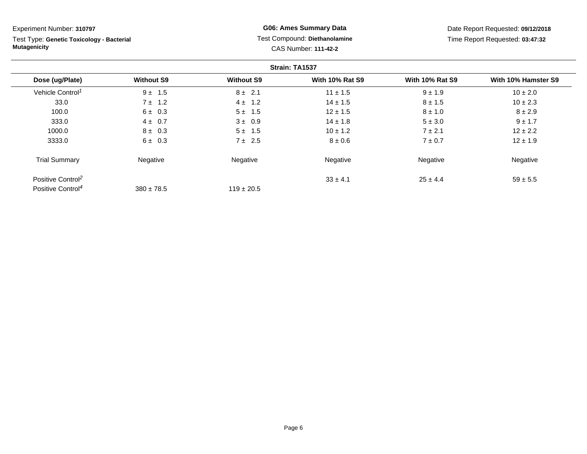Test Type: **Genetic Toxicology - Bacterial Mutagenicity**

# **G06: Ames Summary Data** Test Compound: **Diethanolamine**CAS Number: **111-42-2**

Date Report Requested: **09/12/2018**Time Report Requested: **03:47:32**

|                               |                   |                   | Strain: TA1537         |                        |                     |
|-------------------------------|-------------------|-------------------|------------------------|------------------------|---------------------|
| Dose (ug/Plate)               | <b>Without S9</b> | <b>Without S9</b> | <b>With 10% Rat S9</b> | <b>With 10% Rat S9</b> | With 10% Hamster S9 |
| Vehicle Control <sup>1</sup>  | $9 \pm 1.5$       | $8 \pm 2.1$       | $11 \pm 1.5$           | $9 \pm 1.9$            | $10 \pm 2.0$        |
| 33.0                          | $7 \pm 1.2$       | $4 \pm 1.2$       | $14 \pm 1.5$           | $8 \pm 1.5$            | $10 \pm 2.3$        |
| 100.0                         | $6 \pm 0.3$       | $5 \pm 1.5$       | $12 \pm 1.5$           | $8 \pm 1.0$            | $8 \pm 2.9$         |
| 333.0                         | $4 \pm 0.7$       | $3 \pm 0.9$       | $14 \pm 1.8$           | $5 \pm 3.0$            | $9 \pm 1.7$         |
| 1000.0                        | $8 \pm 0.3$       | $5 \pm 1.5$       | $10 \pm 1.2$           | $7 \pm 2.1$            | $12 \pm 2.2$        |
| 3333.0                        | $6 \pm 0.3$       | $7 \pm 2.5$       | $8 \pm 0.6$            | $7 \pm 0.7$            | $12 \pm 1.9$        |
| <b>Trial Summary</b>          | Negative          | Negative          | Negative               | Negative               | Negative            |
| Positive Control <sup>2</sup> |                   |                   | $33 \pm 4.1$           | $25 \pm 4.4$           | $59 \pm 5.5$        |
| Positive Control <sup>4</sup> | $380 \pm 78.5$    | $119 \pm 20.5$    |                        |                        |                     |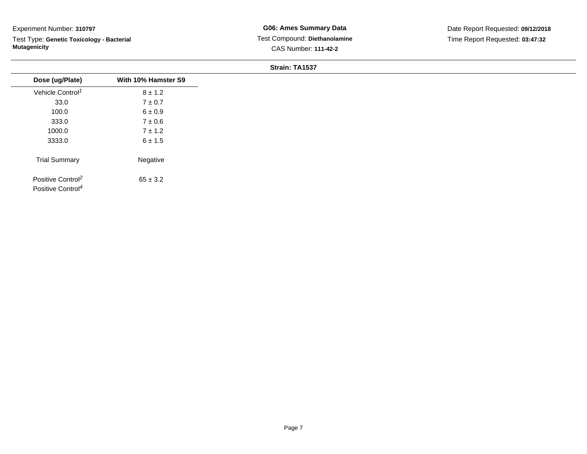Test Type: **Genetic Toxicology - Bacterial Mutagenicity**

| Dose (ug/Plate)                                                | With 10% Hamster S9 |
|----------------------------------------------------------------|---------------------|
| Vehicle Control <sup>1</sup>                                   | $8 \pm 1.2$         |
| 33.0                                                           | $7\pm0.7$           |
| 100.0                                                          | $6 \pm 0.9$         |
| 333.0                                                          | $7 \pm 0.6$         |
| 1000.0                                                         | $7 \pm 1.2$         |
| 3333.0                                                         | $6 \pm 1.5$         |
| <b>Trial Summary</b>                                           | Negative            |
| Positive Control <sup>2</sup><br>Positive Control <sup>4</sup> | $65 \pm 3.2$        |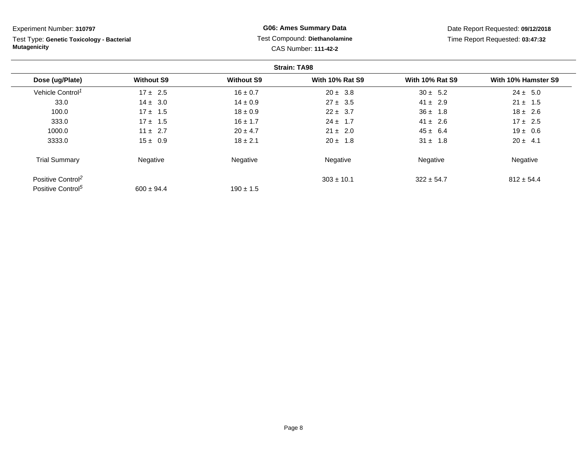**Strain: TA98Dose (ug/Plate) Without S9 Without S9 With 10% Rat S9 With 10% Rat S9 With 10% Hamster S9** Vehicle Control<sup>1</sup>  $17 \pm 2.5$ 5  $16 \pm 0.7$   $20 \pm 3.8$   $30 \pm 5.2$   $24 \pm 5.0$ 33.00 14 ± 3.0 14 ± 0.9 27 ± 3.5 41 ± 2.9 21 ± 1.5 100.00 17 ± 1.5 18 ± 0.9 22 ± 3.7 36 ± 1.8 18 ± 2.6 333.00 17 ± 1.5 16 ± 1.7 24 ± 1.7 41 ± 2.6 17 ± 2.5 1000.00 11 ± 2.7 20 ± 4.7 21 ± 2.0 45 ± 6.4 19 ± 0.6 3333.00 15 ± 0.9 18 ± 2.1 20 ± 1.8 31 ± 1.8 31 ± 1.8 30 ± 4.1 Trial Summary Negativee **Negative Regative** Negative Negative Negative Regative Negative Positive Control<sup>2</sup>  $303 \pm 10.1$  $322 \pm 54.7$  812  $\pm 54.4$ Positive Control<sup>5</sup>  $600 \pm 94.4$  $190 \pm 1.5$ Experiment Number: **310797**Test Type: **Genetic Toxicology - BacterialMutagenicityG06: Ames Summary Data** Test Compound: **Diethanolamine**CAS Number: **111-42-2**Date Report Requested: **09/12/2018**Time Report Requested: **03:47:32**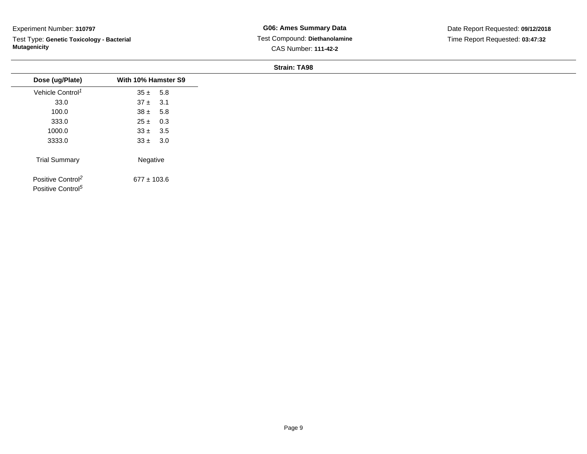Test Type: **Genetic Toxicology - Bacterial Mutagenicity**

**G06: Ames Summary Data** Test Compound: **Diethanolamine**CAS Number: **111-42-2**

| Dose (ug/Plate)<br>Vehicle Control <sup>1</sup><br>33.0<br>100.0<br>333.0<br>1000.0<br>3333.0<br><b>Trial Summary</b> |                     |  |
|-----------------------------------------------------------------------------------------------------------------------|---------------------|--|
|                                                                                                                       | With 10% Hamster S9 |  |
|                                                                                                                       | $35 \pm 5.8$        |  |
|                                                                                                                       | $37 \pm 3.1$        |  |
|                                                                                                                       | $38 \pm 5.8$        |  |
|                                                                                                                       | $25 \pm 0.3$        |  |
|                                                                                                                       | $33 \pm 3.5$        |  |
|                                                                                                                       | $33 \pm 3.0$        |  |
|                                                                                                                       | Negative            |  |
| Positive Control <sup>2</sup><br>Positive Control <sup>5</sup>                                                        | $677 \pm 103.6$     |  |